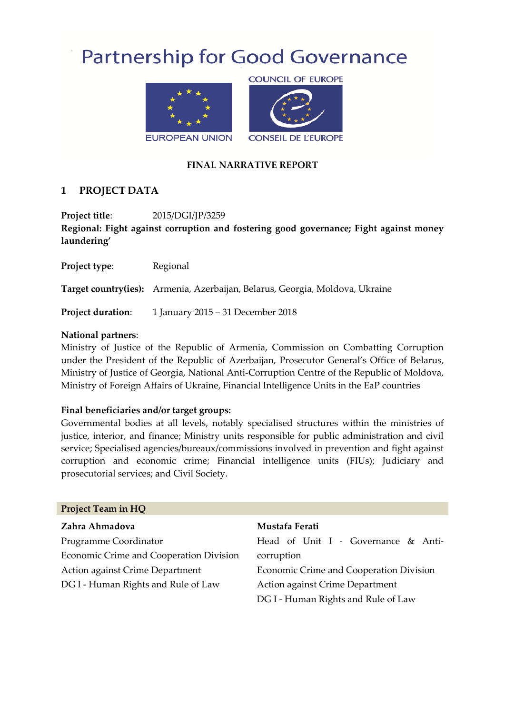# **Partnership for Good Governance**



#### **FINAL NARRATIVE REPORT**

## **1 PROJECT DATA**

**Project title**: 2015/DGI/JP/3259 **Regional: Fight against corruption and fostering good governance; Fight against money laundering'**

**Project type:** Regional

**Target country(ies):** Armenia, Azerbaijan, Belarus, Georgia, Moldova, Ukraine

**Project duration:** 1 January 2015 – 31 December 2018

#### **National partners**:

Ministry of Justice of the Republic of Armenia, Commission on Combatting Corruption under the President of the Republic of Azerbaijan, Prosecutor General's Office of Belarus, Ministry of Justice of Georgia, National Anti-Corruption Centre of the Republic of Moldova, Ministry of Foreign Affairs of Ukraine, Financial Intelligence Units in the EaP countries

#### **Final beneficiaries and/or target groups:**

Governmental bodies at all levels, notably specialised structures within the ministries of justice, interior, and finance; Ministry units responsible for public administration and civil service; Specialised agencies/bureaux/commissions involved in prevention and fight against corruption and economic crime; Financial intelligence units (FIUs); Judiciary and prosecutorial services; and Civil Society.

| Project Team in HQ                      |                                         |
|-----------------------------------------|-----------------------------------------|
| Zahra Ahmadova                          | Mustafa Ferati                          |
| Programme Coordinator                   | Head of Unit I - Governance & Anti-     |
| Economic Crime and Cooperation Division | corruption                              |
| Action against Crime Department         | Economic Crime and Cooperation Division |
| DG I - Human Rights and Rule of Law     | Action against Crime Department         |
|                                         | DG I - Human Rights and Rule of Law     |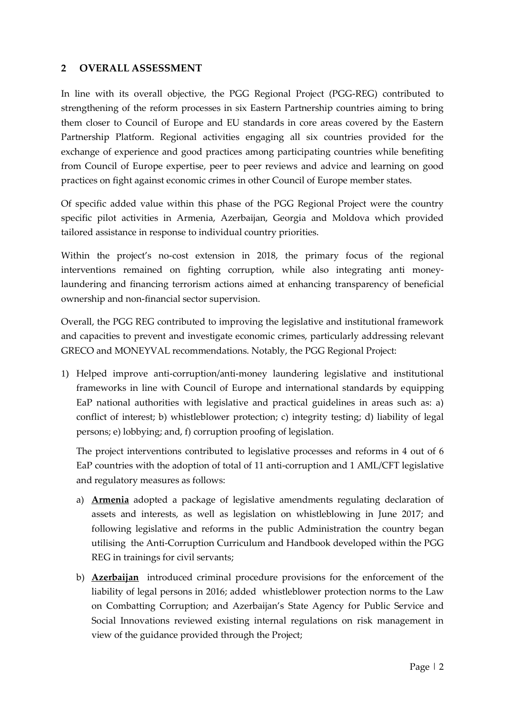#### **2 OVERALL ASSESSMENT**

In line with its overall objective, the PGG Regional Project (PGG-REG) contributed to strengthening of the reform processes in six Eastern Partnership countries aiming to bring them closer to Council of Europe and EU standards in core areas covered by the Eastern Partnership Platform. Regional activities engaging all six countries provided for the exchange of experience and good practices among participating countries while benefiting from Council of Europe expertise, peer to peer reviews and advice and learning on good practices on fight against economic crimes in other Council of Europe member states.

Of specific added value within this phase of the PGG Regional Project were the country specific pilot activities in Armenia, Azerbaijan, Georgia and Moldova which provided tailored assistance in response to individual country priorities.

Within the project's no-cost extension in 2018, the primary focus of the regional interventions remained on fighting corruption, while also integrating anti moneylaundering and financing terrorism actions aimed at enhancing transparency of beneficial ownership and non-financial sector supervision.

Overall, the PGG REG contributed to improving the legislative and institutional framework and capacities to prevent and investigate economic crimes, particularly addressing relevant GRECO and MONEYVAL recommendations. Notably, the PGG Regional Project:

1) Helped improve anti-corruption/anti-money laundering legislative and institutional frameworks in line with Council of Europe and international standards by equipping EaP national authorities with legislative and practical guidelines in areas such as: a) conflict of interest; b) whistleblower protection; c) integrity testing; d) liability of legal persons; e) lobbying; and, f) corruption proofing of legislation.

The project interventions contributed to legislative processes and reforms in 4 out of 6 EaP countries with the adoption of total of 11 anti-corruption and 1 AML/CFT legislative and regulatory measures as follows:

- a) **Armenia** adopted a package of legislative amendments regulating declaration of assets and interests, as well as legislation on whistleblowing in June 2017; and following legislative and reforms in the public Administration the country began utilising the Anti-Corruption Curriculum and Handbook developed within the PGG REG in trainings for civil servants;
- b) **Azerbaijan** introduced criminal procedure provisions for the enforcement of the liability of legal persons in 2016; added whistleblower protection norms to the Law on Combatting Corruption; and Azerbaijan's State Agency for Public Service and Social Innovations reviewed existing internal regulations on risk management in view of the guidance provided through the Project;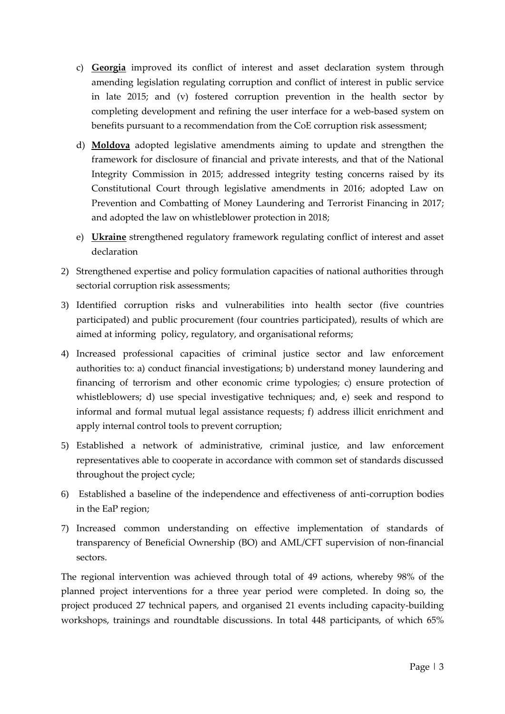- c) **Georgia** improved its conflict of interest and asset declaration system through amending legislation regulating corruption and conflict of interest in public service in late 2015; and (v) fostered corruption prevention in the health sector by completing development and refining the user interface for a web-based system on benefits pursuant to a recommendation from the CoE corruption risk assessment;
- d) **Moldova** adopted legislative amendments aiming to update and strengthen the framework for disclosure of financial and private interests, and that of the National Integrity Commission in 2015; addressed integrity testing concerns raised by its Constitutional Court through legislative amendments in 2016; adopted Law on Prevention and Combatting of Money Laundering and Terrorist Financing in 2017; and adopted the law on whistleblower protection in 2018;
- e) **Ukraine** strengthened regulatory framework regulating conflict of interest and asset declaration
- 2) Strengthened expertise and policy formulation capacities of national authorities through sectorial corruption risk assessments;
- 3) Identified corruption risks and vulnerabilities into health sector (five countries participated) and public procurement (four countries participated), results of which are aimed at informing policy, regulatory, and organisational reforms;
- 4) Increased professional capacities of criminal justice sector and law enforcement authorities to: a) conduct financial investigations; b) understand money laundering and financing of terrorism and other economic crime typologies; c) ensure protection of whistleblowers; d) use special investigative techniques; and, e) seek and respond to informal and formal mutual legal assistance requests; f) address illicit enrichment and apply internal control tools to prevent corruption;
- 5) Established a network of administrative, criminal justice, and law enforcement representatives able to cooperate in accordance with common set of standards discussed throughout the project cycle;
- 6) Established a baseline of the independence and effectiveness of anti-corruption bodies in the EaP region;
- 7) Increased common understanding on effective implementation of standards of transparency of Beneficial Ownership (BO) and AML/CFT supervision of non-financial sectors.

The regional intervention was achieved through total of 49 actions, whereby 98% of the planned project interventions for a three year period were completed. In doing so, the project produced 27 technical papers, and organised 21 events including capacity-building workshops, trainings and roundtable discussions. In total 448 participants, of which 65%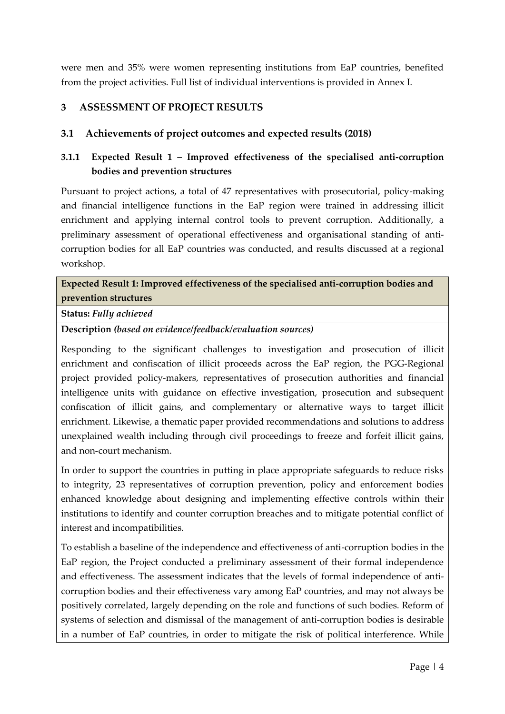were men and 35% were women representing institutions from EaP countries, benefited from the project activities. Full list of individual interventions is provided in Annex I.

## **3 ASSESSMENT OF PROJECT RESULTS**

#### **3.1 Achievements of project outcomes and expected results (2018)**

# **3.1.1 Expected Result 1 – Improved effectiveness of the specialised anti-corruption bodies and prevention structures**

Pursuant to project actions, a total of 47 representatives with prosecutorial, policy-making and financial intelligence functions in the EaP region were trained in addressing illicit enrichment and applying internal control tools to prevent corruption. Additionally, a preliminary assessment of operational effectiveness and organisational standing of anticorruption bodies for all EaP countries was conducted, and results discussed at a regional workshop.

# **Expected Result 1: Improved effectiveness of the specialised anti-corruption bodies and prevention structures**

#### **Status:** *Fully achieved*

#### **Description** *(based on evidence/feedback/evaluation sources)*

Responding to the significant challenges to investigation and prosecution of illicit enrichment and confiscation of illicit proceeds across the EaP region, the PGG-Regional project provided policy-makers, representatives of prosecution authorities and financial intelligence units with guidance on effective investigation, prosecution and subsequent confiscation of illicit gains, and complementary or alternative ways to target illicit enrichment. Likewise, a thematic paper provided recommendations and solutions to address unexplained wealth including through civil proceedings to freeze and forfeit illicit gains, and non-court mechanism.

In order to support the countries in putting in place appropriate safeguards to reduce risks to integrity, 23 representatives of corruption prevention, policy and enforcement bodies enhanced knowledge about designing and implementing effective controls within their institutions to identify and counter corruption breaches and to mitigate potential conflict of interest and incompatibilities.

To establish a baseline of the independence and effectiveness of anti-corruption bodies in the EaP region, the Project conducted a preliminary assessment of their formal independence and effectiveness. The assessment indicates that the levels of formal independence of anticorruption bodies and their effectiveness vary among EaP countries, and may not always be positively correlated, largely depending on the role and functions of such bodies. Reform of systems of selection and dismissal of the management of anti-corruption bodies is desirable in a number of EaP countries, in order to mitigate the risk of political interference. While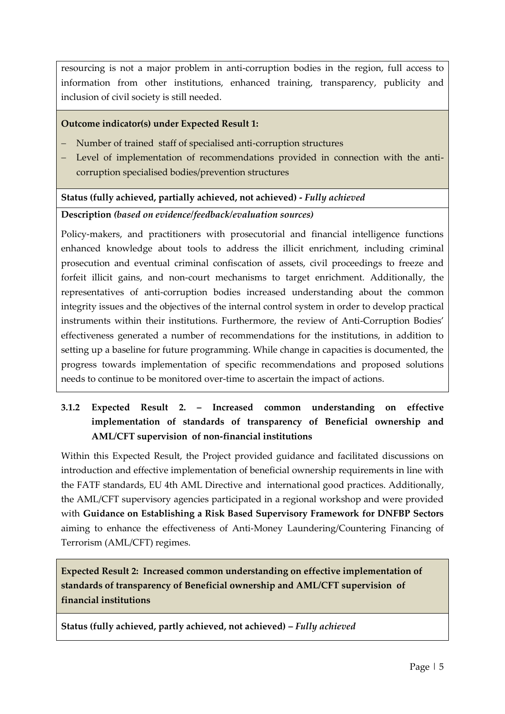resourcing is not a major problem in anti-corruption bodies in the region, full access to information from other institutions, enhanced training, transparency, publicity and inclusion of civil society is still needed.

#### **Outcome indicator(s) under Expected Result 1:**

- Number of trained staff of specialised anti-corruption structures
- Level of implementation of recommendations provided in connection with the anticorruption specialised bodies/prevention structures

#### **Status (fully achieved, partially achieved, not achieved) -** *Fully achieved*

#### **Description** *(based on evidence/feedback/evaluation sources)*

Policy-makers, and practitioners with prosecutorial and financial intelligence functions enhanced knowledge about tools to address the illicit enrichment, including criminal prosecution and eventual criminal confiscation of assets, civil proceedings to freeze and forfeit illicit gains, and non-court mechanisms to target enrichment. Additionally, the representatives of anti-corruption bodies increased understanding about the common integrity issues and the objectives of the internal control system in order to develop practical instruments within their institutions. Furthermore, the review of Anti-Corruption Bodies' effectiveness generated a number of recommendations for the institutions, in addition to setting up a baseline for future programming. While change in capacities is documented, the progress towards implementation of specific recommendations and proposed solutions needs to continue to be monitored over-time to ascertain the impact of actions.

# **3.1.2 Expected Result 2. – Increased common understanding on effective implementation of standards of transparency of Beneficial ownership and AML/CFT supervision of non-financial institutions**

Within this Expected Result, the Project provided guidance and facilitated discussions on introduction and effective implementation of beneficial ownership requirements in line with the FATF standards, EU 4th AML Directive and international good practices. Additionally, the AML/CFT supervisory agencies participated in a regional workshop and were provided with **Guidance on Establishing a Risk Based Supervisory Framework for DNFBP Sectors** aiming to enhance the effectiveness of Anti-Money Laundering/Countering Financing of Terrorism (AML/CFT) regimes.

**Expected Result 2: Increased common understanding on effective implementation of standards of transparency of Beneficial ownership and AML/CFT supervision of financial institutions**

**Status (fully achieved, partly achieved, not achieved) –** *Fully achieved*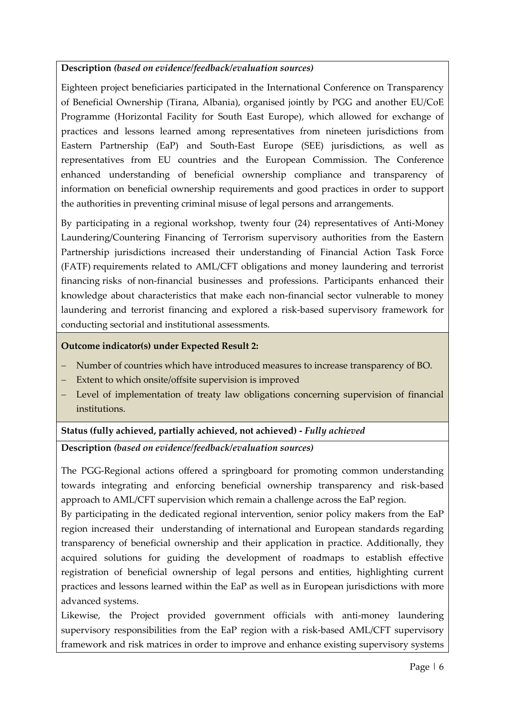## **Description** *(based on evidence/feedback/evaluation sources)*

Eighteen project beneficiaries participated in the International Conference on Transparency of Beneficial Ownership (Tirana, Albania), organised jointly by PGG and another EU/CoE Programme (Horizontal Facility for South East Europe), which allowed for exchange of practices and lessons learned among representatives from nineteen jurisdictions from Eastern Partnership (EaP) and South-East Europe (SEE) jurisdictions, as well as representatives from EU countries and the European Commission. The Conference enhanced understanding of beneficial ownership compliance and transparency of information on beneficial ownership requirements and good practices in order to support the authorities in preventing criminal misuse of legal persons and arrangements.

By participating in a regional workshop, twenty four (24) representatives of Anti-Money Laundering/Countering Financing of Terrorism supervisory authorities from the Eastern Partnership jurisdictions increased their understanding of Financial Action Task Force (FATF) requirements related to AML/CFT obligations and money laundering and terrorist financing risks of non-financial businesses and professions. Participants enhanced their knowledge about characteristics that make each non-financial sector vulnerable to money laundering and terrorist financing and explored a risk-based supervisory framework for conducting sectorial and institutional assessments.

#### **Outcome indicator(s) under Expected Result 2:**

- Number of countries which have introduced measures to increase transparency of BO.
- Extent to which onsite/offsite supervision is improved
- Level of implementation of treaty law obligations concerning supervision of financial institutions.

#### **Status (fully achieved, partially achieved, not achieved) -** *Fully achieved*

#### **Description** *(based on evidence/feedback/evaluation sources)*

The PGG-Regional actions offered a springboard for promoting common understanding towards integrating and enforcing beneficial ownership transparency and risk-based approach to AML/CFT supervision which remain a challenge across the EaP region.

By participating in the dedicated regional intervention, senior policy makers from the EaP region increased their understanding of international and European standards regarding transparency of beneficial ownership and their application in practice. Additionally, they acquired solutions for guiding the development of roadmaps to establish effective registration of beneficial ownership of legal persons and entities, highlighting current practices and lessons learned within the EaP as well as in European jurisdictions with more advanced systems.

Likewise, the Project provided government officials with anti-money laundering supervisory responsibilities from the EaP region with a risk-based AML/CFT supervisory framework and risk matrices in order to improve and enhance existing supervisory systems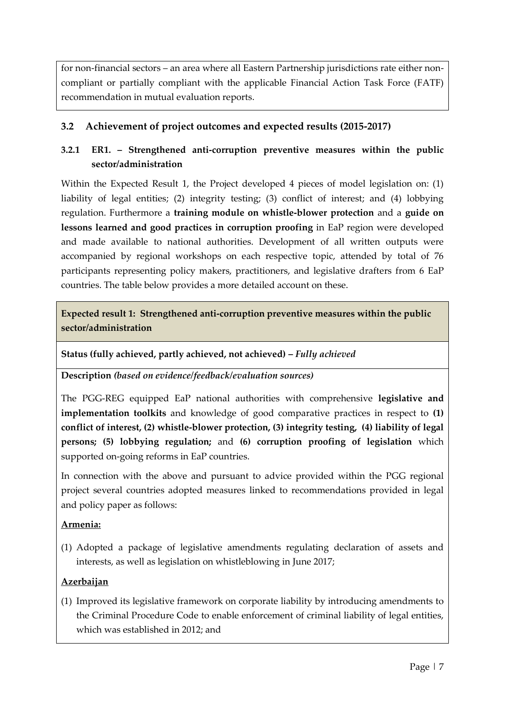for non-financial sectors – an area where all Eastern Partnership jurisdictions rate either noncompliant or partially compliant with the applicable Financial Action Task Force (FATF) recommendation in mutual evaluation reports.

# **3.2 Achievement of project outcomes and expected results (2015-2017)**

# **3.2.1 ER1. – Strengthened anti-corruption preventive measures within the public sector/administration**

Within the Expected Result 1, the Project developed 4 pieces of model legislation on: (1) liability of legal entities; (2) integrity testing; (3) conflict of interest; and (4) lobbying regulation. Furthermore a **training module on whistle-blower protection** and a **guide on lessons learned and good practices in corruption proofing** in EaP region were developed and made available to national authorities. Development of all written outputs were accompanied by regional workshops on each respective topic, attended by total of 76 participants representing policy makers, practitioners, and legislative drafters from 6 EaP countries. The table below provides a more detailed account on these.

**Expected result 1: Strengthened anti-corruption preventive measures within the public sector/administration**

**Status (fully achieved, partly achieved, not achieved) –** *Fully achieved*

**Description** *(based on evidence/feedback/evaluation sources)*

The PGG-REG equipped EaP national authorities with comprehensive **legislative and implementation toolkits** and knowledge of good comparative practices in respect to **(1) conflict of interest, (2) whistle-blower protection, (3) integrity testing, (4) liability of legal persons; (5) lobbying regulation;** and **(6) corruption proofing of legislation** which supported on-going reforms in EaP countries.

In connection with the above and pursuant to advice provided within the PGG regional project several countries adopted measures linked to recommendations provided in legal and policy paper as follows:

#### **Armenia:**

(1) Adopted a package of legislative amendments regulating declaration of assets and interests, as well as legislation on whistleblowing in June 2017;

# **Azerbaijan**

(1) Improved its legislative framework on corporate liability by introducing amendments to the Criminal Procedure Code to enable enforcement of criminal liability of legal entities, which was established in 2012; and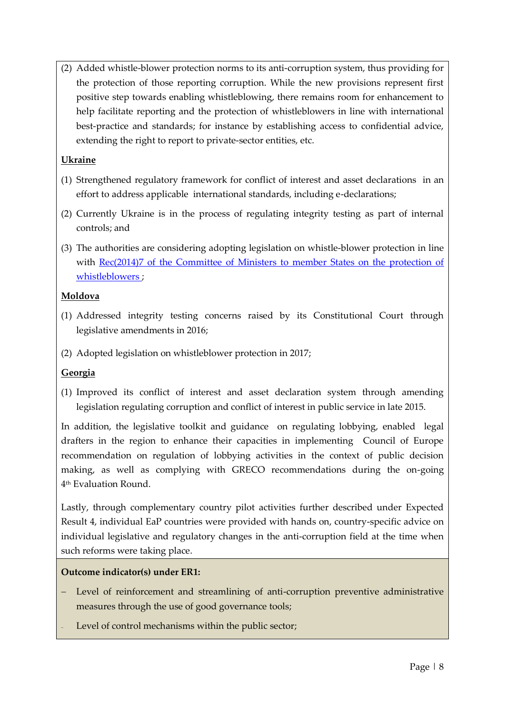(2) Added whistle-blower protection norms to its anti-corruption system, thus providing for the protection of those reporting corruption. While the new provisions represent first positive step towards enabling whistleblowing, there remains room for enhancement to help facilitate reporting and the protection of whistleblowers in line with international best-practice and standards; for instance by establishing access to confidential advice, extending the right to report to private-sector entities, etc.

#### **Ukraine**

- (1) Strengthened regulatory framework for conflict of interest and asset declarations in an effort to address applicable international standards, including e-declarations;
- (2) Currently Ukraine is in the process of regulating integrity testing as part of internal controls; and
- (3) The authorities are considering adopting legislation on whistle-blower protection in line with [Rec\(2014\)7 of the Committee of Ministers to member States on the protection of](https://wcd.coe.int/ViewDoc.jsp?Ref=CM/Rec(2014)7&Language=lanEnglish&Site=CM&BackColorInternet=C3C3C3&BackColorIntranet=EDB021&BackColorLogged=F5D383)  [whistleblowers](https://wcd.coe.int/ViewDoc.jsp?Ref=CM/Rec(2014)7&Language=lanEnglish&Site=CM&BackColorInternet=C3C3C3&BackColorIntranet=EDB021&BackColorLogged=F5D383) ;

## **Moldova**

- (1) Addressed integrity testing concerns raised by its Constitutional Court through legislative amendments in 2016;
- (2) Adopted legislation on whistleblower protection in 2017;

#### **Georgia**

(1) Improved its conflict of interest and asset declaration system through amending legislation regulating corruption and conflict of interest in public service in late 2015.

In addition, the legislative toolkit and guidance on regulating lobbying, enabled legal drafters in the region to enhance their capacities in implementing Council of Europe recommendation on regulation of lobbying activities in the context of public decision making, as well as complying with GRECO recommendations during the on-going 4 th Evaluation Round.

Lastly, through complementary country pilot activities further described under Expected Result 4, individual EaP countries were provided with hands on, country-specific advice on individual legislative and regulatory changes in the anti-corruption field at the time when such reforms were taking place.

#### **Outcome indicator(s) under ER1:**

- Level of reinforcement and streamlining of anti-corruption preventive administrative measures through the use of good governance tools;
- Level of control mechanisms within the public sector;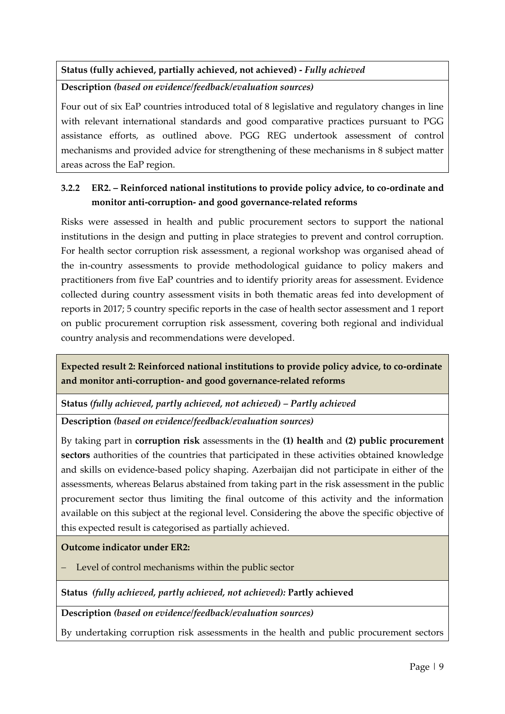# **Status (fully achieved, partially achieved, not achieved) -** *Fully achieved*

**Description** *(based on evidence/feedback/evaluation sources)*

Four out of six EaP countries introduced total of 8 legislative and regulatory changes in line with relevant international standards and good comparative practices pursuant to PGG assistance efforts, as outlined above. PGG REG undertook assessment of control mechanisms and provided advice for strengthening of these mechanisms in 8 subject matter areas across the EaP region.

# **3.2.2 ER2. – Reinforced national institutions to provide policy advice, to co-ordinate and monitor anti-corruption- and good governance-related reforms**

Risks were assessed in health and public procurement sectors to support the national institutions in the design and putting in place strategies to prevent and control corruption. For health sector corruption risk assessment, a regional workshop was organised ahead of the in-country assessments to provide methodological guidance to policy makers and practitioners from five EaP countries and to identify priority areas for assessment. Evidence collected during country assessment visits in both thematic areas fed into development of reports in 2017; 5 country specific reports in the case of health sector assessment and 1 report on public procurement corruption risk assessment, covering both regional and individual country analysis and recommendations were developed.

**Expected result 2: Reinforced national institutions to provide policy advice, to co-ordinate and monitor anti-corruption- and good governance-related reforms**

**Status** *(fully achieved, partly achieved, not achieved) – Partly achieved*

**Description** *(based on evidence/feedback/evaluation sources)*

By taking part in **corruption risk** assessments in the **(1) health** and **(2) public procurement sectors** authorities of the countries that participated in these activities obtained knowledge and skills on evidence-based policy shaping. Azerbaijan did not participate in either of the assessments, whereas Belarus abstained from taking part in the risk assessment in the public procurement sector thus limiting the final outcome of this activity and the information available on this subject at the regional level. Considering the above the specific objective of this expected result is categorised as partially achieved.

#### **Outcome indicator under ER2:**

Level of control mechanisms within the public sector

**Status** *(fully achieved, partly achieved, not achieved):* **Partly achieved**

**Description** *(based on evidence/feedback/evaluation sources)*

By undertaking corruption risk assessments in the health and public procurement sectors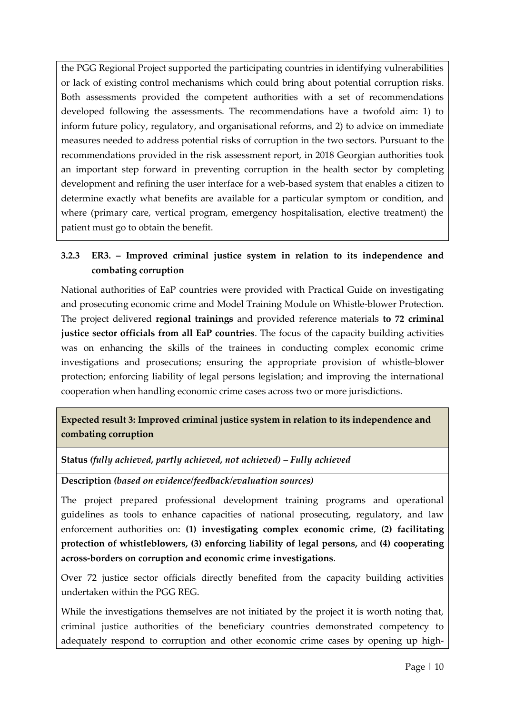the PGG Regional Project supported the participating countries in identifying vulnerabilities or lack of existing control mechanisms which could bring about potential corruption risks. Both assessments provided the competent authorities with a set of recommendations developed following the assessments. The recommendations have a twofold aim: 1) to inform future policy, regulatory, and organisational reforms, and 2) to advice on immediate measures needed to address potential risks of corruption in the two sectors. Pursuant to the recommendations provided in the risk assessment report, in 2018 Georgian authorities took an important step forward in preventing corruption in the health sector by completing development and refining the user interface for a web-based system that enables a citizen to determine exactly what benefits are available for a particular symptom or condition, and where (primary care, vertical program, emergency hospitalisation, elective treatment) the patient must go to obtain the benefit.

# **3.2.3 ER3. – Improved criminal justice system in relation to its independence and combating corruption**

National authorities of EaP countries were provided with Practical Guide on investigating and prosecuting economic crime and Model Training Module on Whistle-blower Protection. The project delivered **regional trainings** and provided reference materials **to 72 criminal justice sector officials from all EaP countries**. The focus of the capacity building activities was on enhancing the skills of the trainees in conducting complex economic crime investigations and prosecutions; ensuring the appropriate provision of whistle-blower protection; enforcing liability of legal persons legislation; and improving the international cooperation when handling economic crime cases across two or more jurisdictions.

# **Expected result 3: Improved criminal justice system in relation to its independence and combating corruption**

**Status** *(fully achieved, partly achieved, not achieved) – Fully achieved*

**Description** *(based on evidence/feedback/evaluation sources)*

The project prepared professional development training programs and operational guidelines as tools to enhance capacities of national prosecuting, regulatory, and law enforcement authorities on: **(1) investigating complex economic crime**, **(2) facilitating protection of whistleblowers, (3) enforcing liability of legal persons,** and **(4) cooperating across-borders on corruption and economic crime investigations**.

Over 72 justice sector officials directly benefited from the capacity building activities undertaken within the PGG REG.

While the investigations themselves are not initiated by the project it is worth noting that, criminal justice authorities of the beneficiary countries demonstrated competency to adequately respond to corruption and other economic crime cases by opening up high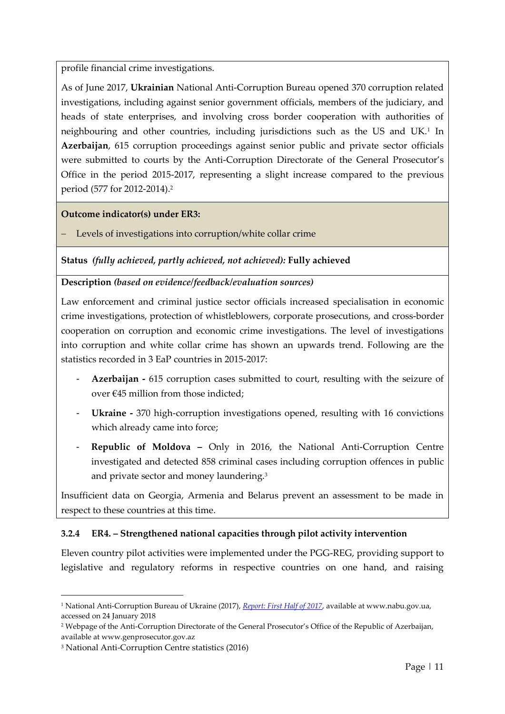profile financial crime investigations.

As of June 2017, **Ukrainian** National Anti-Corruption Bureau opened 370 corruption related investigations, including against senior government officials, members of the judiciary, and heads of state enterprises, and involving cross border cooperation with authorities of neighbouring and other countries, including jurisdictions such as the US and UK.<sup>1</sup> In **Azerbaijan**, 615 corruption proceedings against senior public and private sector officials were submitted to courts by the Anti-Corruption Directorate of the General Prosecutor's Office in the period 2015-2017, representing a slight increase compared to the previous period (577 for 2012-2014).<sup>2</sup>

**Outcome indicator(s) under ER3:**

Levels of investigations into corruption/white collar crime

**Status** *(fully achieved, partly achieved, not achieved):* **Fully achieved**

#### **Description** *(based on evidence/feedback/evaluation sources)*

Law enforcement and criminal justice sector officials increased specialisation in economic crime investigations, protection of whistleblowers, corporate prosecutions, and cross-border cooperation on corruption and economic crime investigations. The level of investigations into corruption and white collar crime has shown an upwards trend. Following are the statistics recorded in 3 EaP countries in 2015-2017:

- **Azerbaijan -** 615 corruption cases submitted to court, resulting with the seizure of over €45 million from those indicted;
- **Ukraine -** 370 high-corruption investigations opened, resulting with 16 convictions which already came into force;
- **Republic of Moldova –** Only in 2016, the National Anti-Corruption Centre investigated and detected 858 criminal cases including corruption offences in public and private sector and money laundering.<sup>3</sup>

Insufficient data on Georgia, Armenia and Belarus prevent an assessment to be made in respect to these countries at this time.

#### **3.2.4 ER4. – Strengthened national capacities through pilot activity intervention**

Eleven country pilot activities were implemented under the PGG-REG, providing support to legislative and regulatory reforms in respective countries on one hand, and raising

-

<sup>1</sup> National Anti-Corruption Bureau of Ukraine (2017), *[Report: First Half of 2017](https://nabu.gov.ua/sites/default/files/reports/report_eng_0.pdf)*, available at www.nabu.gov.ua, accessed on 24 January 2018

<sup>2</sup> Webpage of the Anti-Corruption Directorate of the General Prosecutor's Office of the Republic of Azerbaijan, available at www.genprosecutor.gov.az

<sup>3</sup> National Anti-Corruption Centre statistics (2016)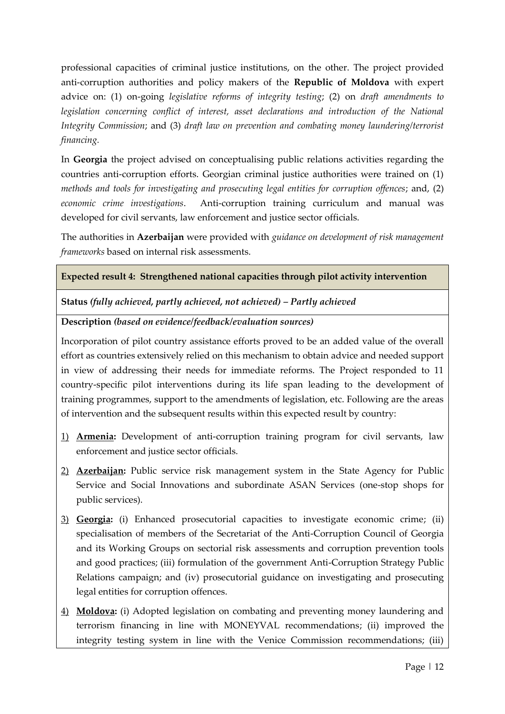professional capacities of criminal justice institutions, on the other. The project provided anti-corruption authorities and policy makers of the **Republic of Moldova** with expert advice on: (1) on-going *legislative reforms of integrity testing*; (2) on *draft amendments to legislation concerning conflict of interest, asset declarations and introduction of the National Integrity Commission*; and (3) *draft law on prevention and combating money laundering/terrorist financing.* 

In **Georgia** the project advised on conceptualising public relations activities regarding the countries anti-corruption efforts. Georgian criminal justice authorities were trained on (1) *methods and tools for investigating and prosecuting legal entities for corruption offences*; and, (2) *economic crime investigations*. Anti-corruption training curriculum and manual was developed for civil servants, law enforcement and justice sector officials.

The authorities in **Azerbaijan** were provided with *guidance on development of risk management frameworks* based on internal risk assessments.

#### **Expected result 4: Strengthened national capacities through pilot activity intervention**

**Status** *(fully achieved, partly achieved, not achieved) – Partly achieved*

**Description** *(based on evidence/feedback/evaluation sources)*

Incorporation of pilot country assistance efforts proved to be an added value of the overall effort as countries extensively relied on this mechanism to obtain advice and needed support in view of addressing their needs for immediate reforms. The Project responded to 11 country-specific pilot interventions during its life span leading to the development of training programmes, support to the amendments of legislation, etc. Following are the areas of intervention and the subsequent results within this expected result by country:

- 1) **Armenia:** Development of anti-corruption training program for civil servants, law enforcement and justice sector officials.
- 2) **Azerbaijan:** Public service risk management system in the State Agency for Public Service and Social Innovations and subordinate ASAN Services (one-stop shops for public services).
- 3) **Georgia:** (i) Enhanced prosecutorial capacities to investigate economic crime; (ii) specialisation of members of the Secretariat of the Anti-Corruption Council of Georgia and its Working Groups on sectorial risk assessments and corruption prevention tools and good practices; (iii) formulation of the government Anti-Corruption Strategy Public Relations campaign; and (iv) prosecutorial guidance on investigating and prosecuting legal entities for corruption offences.
- 4) **Moldova:** (i) Adopted legislation on combating and preventing money laundering and terrorism financing in line with MONEYVAL recommendations; (ii) improved the integrity testing system in line with the Venice Commission recommendations; (iii)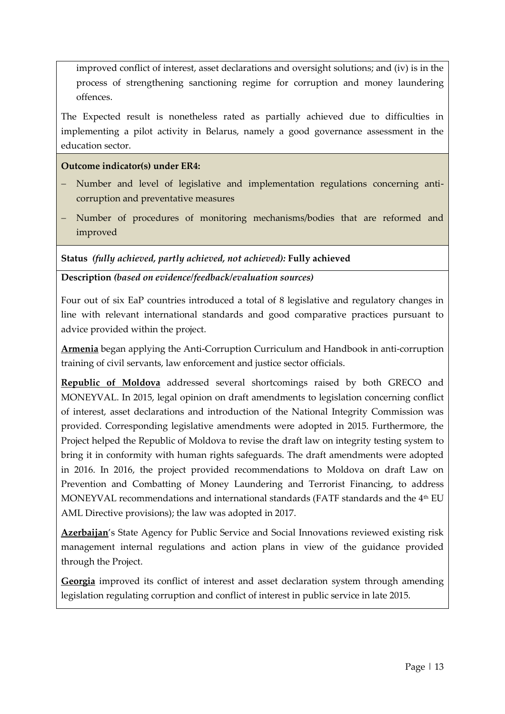improved conflict of interest, asset declarations and oversight solutions; and (iv) is in the process of strengthening sanctioning regime for corruption and money laundering offences.

The Expected result is nonetheless rated as partially achieved due to difficulties in implementing a pilot activity in Belarus, namely a good governance assessment in the education sector.

**Outcome indicator(s) under ER4:**

- Number and level of legislative and implementation regulations concerning anticorruption and preventative measures
- Number of procedures of monitoring mechanisms/bodies that are reformed and improved

**Status** *(fully achieved, partly achieved, not achieved):* **Fully achieved**

**Description** *(based on evidence/feedback/evaluation sources)*

Four out of six EaP countries introduced a total of 8 legislative and regulatory changes in line with relevant international standards and good comparative practices pursuant to advice provided within the project.

**Armenia** began applying the Anti-Corruption Curriculum and Handbook in anti-corruption training of civil servants, law enforcement and justice sector officials.

**Republic of Moldova** addressed several shortcomings raised by both GRECO and MONEYVAL. In 2015, legal opinion on draft amendments to legislation concerning conflict of interest, asset declarations and introduction of the National Integrity Commission was provided. Corresponding legislative amendments were adopted in 2015. Furthermore, the Project helped the Republic of Moldova to revise the draft law on integrity testing system to bring it in conformity with human rights safeguards. The draft amendments were adopted in 2016. In 2016, the project provided recommendations to Moldova on draft Law on Prevention and Combatting of Money Laundering and Terrorist Financing, to address MONEYVAL recommendations and international standards (FATF standards and the 4<sup>th</sup> EU AML Directive provisions); the law was adopted in 2017.

**Azerbaijan**'s State Agency for Public Service and Social Innovations reviewed existing risk management internal regulations and action plans in view of the guidance provided through the Project.

**Georgia** improved its conflict of interest and asset declaration system through amending legislation regulating corruption and conflict of interest in public service in late 2015.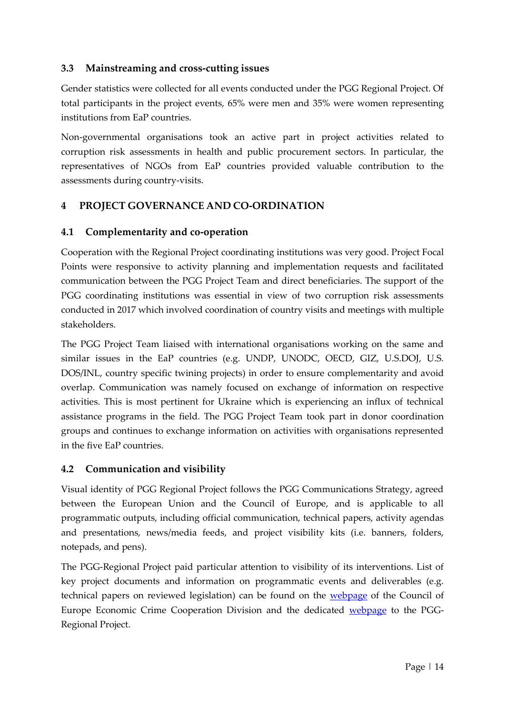## **3.3 Mainstreaming and cross-cutting issues**

Gender statistics were collected for all events conducted under the PGG Regional Project. Of total participants in the project events, 65% were men and 35% were women representing institutions from EaP countries.

Non-governmental organisations took an active part in project activities related to corruption risk assessments in health and public procurement sectors. In particular, the representatives of NGOs from EaP countries provided valuable contribution to the assessments during country-visits.

# **4 PROJECT GOVERNANCE AND CO-ORDINATION**

## **4.1 Complementarity and co-operation**

Cooperation with the Regional Project coordinating institutions was very good. Project Focal Points were responsive to activity planning and implementation requests and facilitated communication between the PGG Project Team and direct beneficiaries. The support of the PGG coordinating institutions was essential in view of two corruption risk assessments conducted in 2017 which involved coordination of country visits and meetings with multiple stakeholders.

The PGG Project Team liaised with international organisations working on the same and similar issues in the EaP countries (e.g. UNDP, UNODC, OECD, GIZ, U.S.DOJ, U.S. DOS/INL, country specific twining projects) in order to ensure complementarity and avoid overlap. Communication was namely focused on exchange of information on respective activities. This is most pertinent for Ukraine which is experiencing an influx of technical assistance programs in the field. The PGG Project Team took part in donor coordination groups and continues to exchange information on activities with organisations represented in the five EaP countries.

# **4.2 Communication and visibility**

Visual identity of PGG Regional Project follows the PGG Communications Strategy, agreed between the European Union and the Council of Europe, and is applicable to all programmatic outputs, including official communication, technical papers, activity agendas and presentations, news/media feeds, and project visibility kits (i.e. banners, folders, notepads, and pens).

The PGG-Regional Project paid particular attention to visibility of its interventions. List of key project documents and information on programmatic events and deliverables (e.g. technical papers on reviewed legislation) can be found on the [webpage](http://www.coe.int/corruption) of the Council of Europe Economic Crime Cooperation Division and the dedicated [webpage](https://www.coe.int/en/web/corruption/projects/pgg-regional) to the PGG-Regional Project.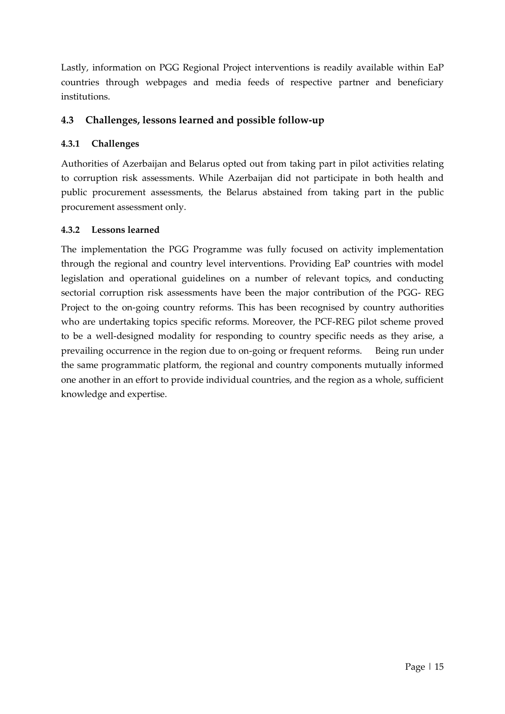Lastly, information on PGG Regional Project interventions is readily available within EaP countries through webpages and media feeds of respective partner and beneficiary institutions.

## **4.3 Challenges, lessons learned and possible follow-up**

#### **4.3.1 Challenges**

Authorities of Azerbaijan and Belarus opted out from taking part in pilot activities relating to corruption risk assessments. While Azerbaijan did not participate in both health and public procurement assessments, the Belarus abstained from taking part in the public procurement assessment only.

#### **4.3.2 Lessons learned**

The implementation the PGG Programme was fully focused on activity implementation through the regional and country level interventions. Providing EaP countries with model legislation and operational guidelines on a number of relevant topics, and conducting sectorial corruption risk assessments have been the major contribution of the PGG- REG Project to the on-going country reforms. This has been recognised by country authorities who are undertaking topics specific reforms. Moreover, the PCF-REG pilot scheme proved to be a well-designed modality for responding to country specific needs as they arise, a prevailing occurrence in the region due to on-going or frequent reforms. Being run under the same programmatic platform, the regional and country components mutually informed one another in an effort to provide individual countries, and the region as a whole, sufficient knowledge and expertise.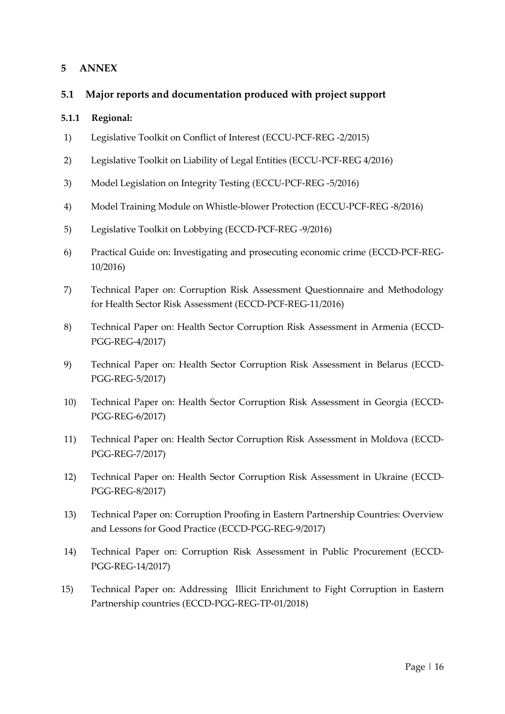#### **5 ANNEX**

#### **5.1 Major reports and documentation produced with project support**

#### **5.1.1 Regional:**

- 1) Legislative Toolkit on Conflict of Interest (ECCU-PCF-REG -2/2015)
- 2) Legislative Toolkit on Liability of Legal Entities (ECCU-PCF-REG 4/2016)
- 3) Model Legislation on Integrity Testing (ECCU-PCF-REG -5/2016)
- 4) Model Training Module on Whistle-blower Protection (ECCU-PCF-REG -8/2016)
- 5) Legislative Toolkit on Lobbying (ECCD-PCF-REG -9/2016)
- 6) Practical Guide on: Investigating and prosecuting economic crime (ECCD-PCF-REG-10/2016)
- 7) Technical Paper on: Corruption Risk Assessment Questionnaire and Methodology for Health Sector Risk Assessment (ECCD-PCF-REG-11/2016)
- 8) Technical Paper on: Health Sector Corruption Risk Assessment in Armenia (ECCD-PGG-REG-4/2017)
- 9) Technical Paper on: Health Sector Corruption Risk Assessment in Belarus (ECCD-PGG-REG-5/2017)
- 10) Technical Paper on: Health Sector Corruption Risk Assessment in Georgia (ECCD-PGG-REG-6/2017)
- 11) Technical Paper on: Health Sector Corruption Risk Assessment in Moldova (ECCD-PGG-REG-7/2017)
- 12) Technical Paper on: Health Sector Corruption Risk Assessment in Ukraine (ECCD-PGG-REG-8/2017)
- 13) Technical Paper on: Corruption Proofing in Eastern Partnership Countries: Overview and Lessons for Good Practice (ECCD-PGG-REG-9/2017)
- 14) Technical Paper on: Corruption Risk Assessment in Public Procurement (ECCD-PGG-REG-14/2017)
- 15) Technical Paper on: Addressing Illicit Enrichment to Fight Corruption in Eastern Partnership countries (ECCD-PGG-REG-TP-01/2018)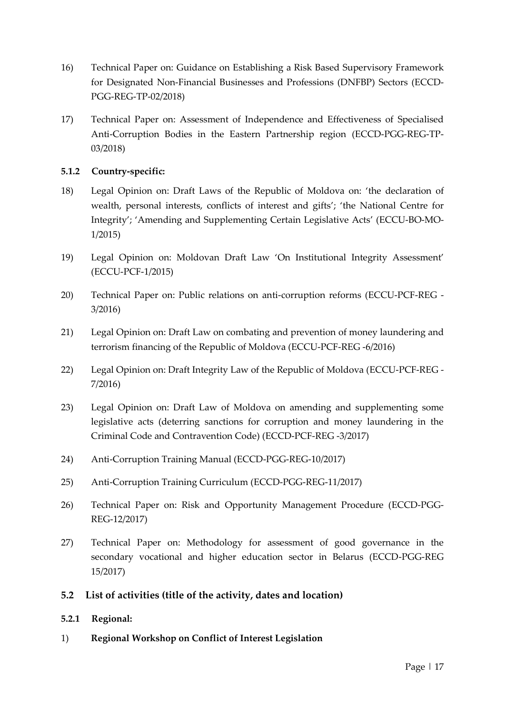- 16) Technical Paper on: Guidance on Establishing a Risk Based Supervisory Framework for Designated Non-Financial Businesses and Professions (DNFBP) Sectors (ECCD-PGG-REG-TP-02/2018)
- 17) Technical Paper on: Assessment of Independence and Effectiveness of Specialised Anti-Corruption Bodies in the Eastern Partnership region (ECCD-PGG-REG-TP-03/2018)

#### **5.1.2 Country-specific:**

- 18) Legal Opinion on: Draft Laws of the Republic of Moldova on: 'the declaration of wealth, personal interests, conflicts of interest and gifts'; 'the National Centre for Integrity'; 'Amending and Supplementing Certain Legislative Acts' (ECCU-BO-MO-1/2015)
- 19) Legal Opinion on: Moldovan Draft Law 'On Institutional Integrity Assessment' (ECCU-PCF-1/2015)
- 20) Technical Paper on: Public relations on anti-corruption reforms (ECCU-PCF-REG 3/2016)
- 21) Legal Opinion on: Draft Law on combating and prevention of money laundering and terrorism financing of the Republic of Moldova (ECCU-PCF-REG -6/2016)
- 22) Legal Opinion on: Draft Integrity Law of the Republic of Moldova (ECCU-PCF-REG 7/2016)
- 23) Legal Opinion on: Draft Law of Moldova on amending and supplementing some legislative acts (deterring sanctions for corruption and money laundering in the Criminal Code and Contravention Code) (ECCD-PCF-REG -3/2017)
- 24) Anti-Corruption Training Manual (ECCD-PGG-REG-10/2017)
- 25) Anti-Corruption Training Curriculum (ECCD-PGG-REG-11/2017)
- 26) Technical Paper on: Risk and Opportunity Management Procedure (ECCD-PGG-REG-12/2017)
- 27) Technical Paper on: Methodology for assessment of good governance in the secondary vocational and higher education sector in Belarus (ECCD-PGG-REG 15/2017)
- **5.2 List of activities (title of the activity, dates and location)**

#### **5.2.1 Regional:**

1) **Regional Workshop on Conflict of Interest Legislation**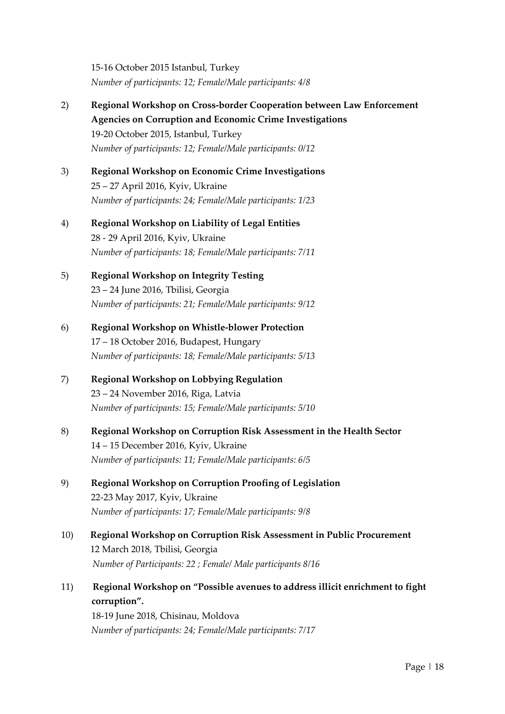15-16 October 2015 Istanbul, Turkey *Number of participants: 12; Female/Male participants: 4/8*

- 2) **Regional Workshop on Cross-border Cooperation between Law Enforcement Agencies on Corruption and Economic Crime Investigations** 19-20 October 2015, Istanbul, Turkey *Number of participants: 12; Female/Male participants: 0/12*
- 3) **Regional Workshop on Economic Crime Investigations** 25 – 27 April 2016, Kyiv, Ukraine *Number of participants: 24; Female/Male participants: 1/23*
- 4) **Regional Workshop on Liability of Legal Entities** 28 - 29 April 2016, Kyiv, Ukraine *Number of participants: 18; Female/Male participants: 7/11*
- 5) **Regional Workshop on Integrity Testing** 23 – 24 June 2016, Tbilisi, Georgia *Number of participants: 21; Female/Male participants: 9/12*
- 6) **Regional Workshop on Whistle-blower Protection** 17 – 18 October 2016, Budapest, Hungary *Number of participants: 18; Female/Male participants: 5/13*
- 7) **Regional Workshop on Lobbying Regulation** 23 – 24 November 2016, Riga, Latvia *Number of participants: 15; Female/Male participants: 5/10*
- 8) **Regional Workshop on Corruption Risk Assessment in the Health Sector** 14 – 15 December 2016, Kyiv, Ukraine *Number of participants: 11; Female/Male participants: 6/5*
- 9) **Regional Workshop on Corruption Proofing of Legislation** 22-23 May 2017, Kyiv, Ukraine *Number of participants: 17; Female/Male participants: 9/8*
- 10) **Regional Workshop on Corruption Risk Assessment in Public Procurement** 12 March 2018, Tbilisi, Georgia *Number of Participants: 22 ; Female/ Male participants 8/16*
- 11)**Regional Workshop on "Possible avenues to address illicit enrichment to fight corruption".**

18-19 June 2018, Chisinau, Moldova *Number of participants: 24; Female/Male participants: 7/17*